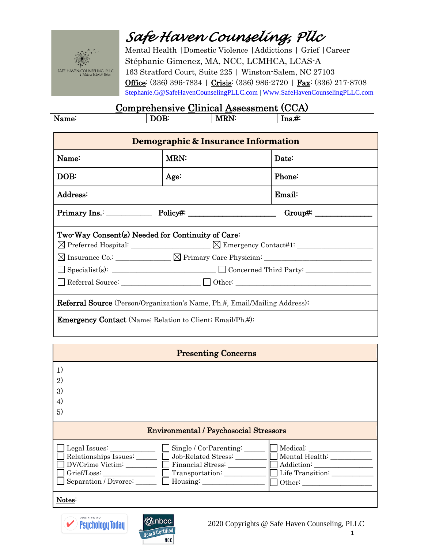

Mental Health |Domestic Violence |Addictions | Grief |Career Stéphanie Gimenez, MA, NCC, LCMHCA, LCAS-A 163 Stratford Court, Suite 225 | Winston-Salem, NC 27103 Office: (336) 396-7834 | Crisis: (336) 986-2720 | Fax: (336) 217-8708 [Stephanie.G@SafeHavenCounselingPLLC.com](mailto:Stephanie.G@SafeHavenCounselingPLLC.com) [| Www.SafeHavenCounselingPLLC.com](http://www.safehavencounselingpllc.com/)

| <u> COMPLOMONDI V CHAMORE E ACCOCAMOND (COLA)</u> |  |  |  |  |
|---------------------------------------------------|--|--|--|--|
| .                                                 |  |  |  |  |
|                                                   |  |  |  |  |

| Demographic & Insurance Information                                                                                                                                                                                                                                                                                                                                                                                             |                      |        |  |
|---------------------------------------------------------------------------------------------------------------------------------------------------------------------------------------------------------------------------------------------------------------------------------------------------------------------------------------------------------------------------------------------------------------------------------|----------------------|--------|--|
| Name:                                                                                                                                                                                                                                                                                                                                                                                                                           | <b>MRN:</b><br>Date: |        |  |
| DOB:                                                                                                                                                                                                                                                                                                                                                                                                                            | Age:                 | Phone: |  |
| Address:                                                                                                                                                                                                                                                                                                                                                                                                                        |                      | Email: |  |
| $Primary Ins.$ $\qquad \qquad$ $Policy#:$ $\qquad \qquad$ $\qquad \qquad$ $\qquad \qquad$ $\qquad \qquad$ $\qquad \qquad$ $\qquad \qquad$ $\qquad \qquad$ $\qquad \qquad$ $\qquad \qquad$ $\qquad \qquad$ $\qquad \qquad$ $\qquad \qquad$ $\qquad \qquad$ $\qquad \qquad$ $\qquad \qquad$ $\qquad \qquad$ $\qquad \qquad$ $\qquad \qquad$ $\qquad \qquad$ $\qquad \qquad$ $\qquad \qquad$ $\qquad \qquad$ $\$<br>$Group\ddag$ : |                      |        |  |
| Two-Way Consent(s) Needed for Continuity of Care:<br>Specialist(s): Specialist(s): Specialist(s): Specialist(s): Specialist(s): Specialist(s): Specialist(s): Specialist(s): Specialist(s): Specialist(s): Specialist(s): Specialist(s): Specialist(s): Specialist(s): Specialist(s<br>Referral Source: <u>Network: Communication</u> Other:                                                                                    |                      |        |  |
| <b>Referral Source</b> (Person/Organization's Name, Ph.#, Email/Mailing Address):                                                                                                                                                                                                                                                                                                                                               |                      |        |  |
| <b>Emergency Contact</b> (Name; Relation to Client; Email/Ph.#):                                                                                                                                                                                                                                                                                                                                                                |                      |        |  |

| <b>Presenting Concerns</b>                                                                                                                                                               |                                                            |  |  |
|------------------------------------------------------------------------------------------------------------------------------------------------------------------------------------------|------------------------------------------------------------|--|--|
| 1)<br>$\mathbf{2}$<br>3)<br>4)<br>5)                                                                                                                                                     |                                                            |  |  |
| <b>Environmental / Psychosocial Stressors</b>                                                                                                                                            |                                                            |  |  |
| Legal Issues:<br>Single / Co-Parenting:<br>Job-Related Stress:<br>Relationships Issues:<br>DV/Crime Victim:<br>Financial Stress:<br>Transportation:<br>Separation / Divorce:<br>Housing: | Mental Health: _________<br>Addiction:<br>Life Transition: |  |  |
| Notes:                                                                                                                                                                                   |                                                            |  |  |



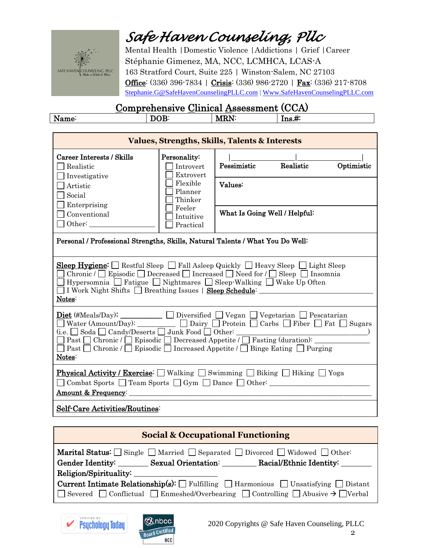

Mental Health |Domestic Violence |Addictions | Grief |Career Stéphanie Gimenez, MA, NCC, LCMHCA, LCAS-A 163 Stratford Court, Suite 225 | Winston-Salem, NC 27103 Office: (336) 396-7834 | Crisis: (336) 986-2720 | Fax: (336) 217-8708 [Stephanie.G@SafeHavenCounselingPLLC.com](mailto:Stephanie.G@SafeHavenCounselingPLLC.com) [| Www.SafeHavenCounselingPLLC.com](http://www.safehavencounselingpllc.com/)

| <u> COMPLOMONDI V CHAMORE E ACCOCAMOND (COLA)</u> |  |  |  |  |
|---------------------------------------------------|--|--|--|--|
| M                                                 |  |  |  |  |
|                                                   |  |  |  |  |

| <b>Values, Strengths, Skills, Talents &amp; Interests</b>                                                                                                                                                                                                                                                                                                                                                         |                                                                          |                                                   |  |  |
|-------------------------------------------------------------------------------------------------------------------------------------------------------------------------------------------------------------------------------------------------------------------------------------------------------------------------------------------------------------------------------------------------------------------|--------------------------------------------------------------------------|---------------------------------------------------|--|--|
| Career Interests / Skills<br>Realistic<br>Investigative<br>Artistic<br>Social<br>Enterprising                                                                                                                                                                                                                                                                                                                     | Personality:<br>Introvert<br>Extrovert<br>Flexible<br>Planner<br>Thinker | Pessimistic<br>Realistic<br>Optimistic<br>Values: |  |  |
| Conventional<br>Other:                                                                                                                                                                                                                                                                                                                                                                                            | Feeler<br>Intuitive<br>Practical                                         | What Is Going Well / Helpful:                     |  |  |
| Personal / Professional Strengths, Skills, Natural Talents / What You Do Well:                                                                                                                                                                                                                                                                                                                                    |                                                                          |                                                   |  |  |
| <b>Sleep Hygiene:</b> Restful Sleep $\Box$ Fall Asleep Quickly $\Box$ Heavy Sleep $\Box$ Light Sleep<br>Chronic / $\Box$ Episodic $\Box$ Decreased $\Box$ Increased $\Box$ Need for / $\Box$ Sleep $\Box$ Insomnia<br>  Hypersomnia   Fatigue   Nightmares   Sleep Walking   Wake Up Often<br>I Work Night Shifts September 1 Steep Schedule:<br>Notes:                                                           |                                                                          |                                                   |  |  |
| <b>Diet</b> (#Meals/Day): $\Box$ Diversified $\Box$ Vegan $\Box$ Vegetarian $\Box$ Pescatarian<br>Water (Amount/Day): $\Box$ Dairy $\Box$ Protein $\Box$ Carbs $\Box$ Fiber $\Box$ Fat $\Box$ Sugars<br>□ Past □ Chronic / □ Episodic □ Decreased Appetite / □ Fasting (duration): _____<br>$\Box$ Past $\Box$ Chronic / $\Box$ Episodic $\Box$ Increased Appetite / $\Box$ Binge Eating $\Box$ Purging<br>Notes: |                                                                          |                                                   |  |  |
| <b>Physical Activity / Exercise:</b> $\Box$ Walking $\Box$ Swimming $\Box$ Biking $\Box$ Hiking $\Box$ Yoga<br>Amount & Frequency:                                                                                                                                                                                                                                                                                |                                                                          |                                                   |  |  |
| Self-Care Activities/Routines:                                                                                                                                                                                                                                                                                                                                                                                    |                                                                          |                                                   |  |  |

| <b>Social &amp; Occupational Functioning</b>                                                                                                                                                                                                 |  |  |  |
|----------------------------------------------------------------------------------------------------------------------------------------------------------------------------------------------------------------------------------------------|--|--|--|
| <b>Marital Status:</b> Single Married Separated Divorced Widowed Other:<br>  Gender Identity: Sexual Orientation: Racial/Ethnic Identity: Name of Sexual Orientation: Racial/Ethnic Identity:                                                |  |  |  |
|                                                                                                                                                                                                                                              |  |  |  |
| <b>Current Intimate Relationship(s):</b> $\Box$ Fulfilling $\Box$ Harmonious $\Box$ Unsatisfying $\Box$ Distant<br>$\Box$ Severed $\Box$ Conflictual $\Box$ Enmeshed/Overbearing $\Box$ Controlling $\Box$ Abusive $\rightarrow \Box$ Verbal |  |  |  |



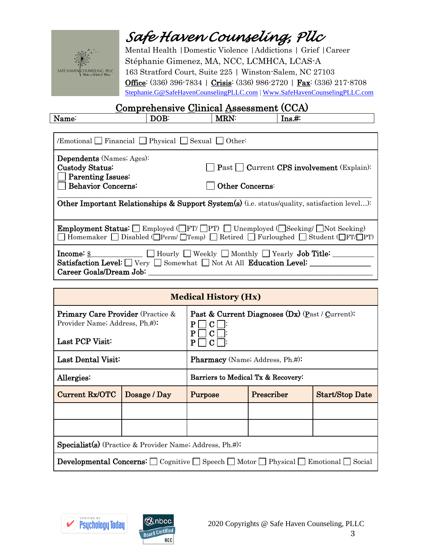

Mental Health |Domestic Violence |Addictions | Grief |Career Stéphanie Gimenez, MA, NCC, LCMHCA, LCAS-A 163 Stratford Court, Suite 225 | Winston-Salem, NC 27103 Office: (336) 396-7834 | Crisis: (336) 986-2720 | Fax: (336) 217-8708 [Stephanie.G@SafeHavenCounselingPLLC.com](mailto:Stephanie.G@SafeHavenCounselingPLLC.com) [| Www.SafeHavenCounselingPLLC.com](http://www.safehavencounselingpllc.com/)

| Name:                                                                                                                                                                                                                 | DOB: | <b>MRN:</b>            | $\operatorname{Ins.}\#$ :                                                                                                                                                                                                           |  |
|-----------------------------------------------------------------------------------------------------------------------------------------------------------------------------------------------------------------------|------|------------------------|-------------------------------------------------------------------------------------------------------------------------------------------------------------------------------------------------------------------------------------|--|
|                                                                                                                                                                                                                       |      |                        |                                                                                                                                                                                                                                     |  |
| Emotional Financial Physical Sexual Other:                                                                                                                                                                            |      |                        |                                                                                                                                                                                                                                     |  |
| <b>Dependents</b> (Names; Ages):<br>Custody Status:<br>$\vert$ Past $\vert$ Current CPS involvement (Explain):<br>$\Box$ Parenting Issues:                                                                            |      |                        |                                                                                                                                                                                                                                     |  |
| Behavior Concerns:                                                                                                                                                                                                    |      | <b>Other Concerns:</b> |                                                                                                                                                                                                                                     |  |
| <b>Other Important Relationships &amp; Support System(s)</b> (i.e. status/quality, satisfaction level):                                                                                                               |      |                        |                                                                                                                                                                                                                                     |  |
| <b>Employment Status:</b> Employed (FT/ PT) Unemployed (Seeking/ Not Seeking)<br>$\Box$ Homemaker $\Box$ Disabled ( $\Box$ Perm/ $\Box$ Temp) $\Box$ Retired $\Box$ Furloughed $\Box$ Student ( $\Box$ FT/ $\Box$ PT) |      |                        |                                                                                                                                                                                                                                     |  |
| Career Goals/Dream Job:                                                                                                                                                                                               |      |                        | <b>Income:</b> \$ 100 1 100 1 100 1 100 1 100 1 100 1 100 1 100 1 100 1 100 1 100 1 100 1 100 1 100 1 100 1 100 1 100 1 100 1 100 1 100 1 100 1 100 1 100 1 100 1 100 1 100 1 100 1 100 1 100 1 100 1 100 1 100 1 100 1 100 1 100 1 |  |

| <b>Medical History (Hx)</b>                                                                                               |              |                                                                |  |  |
|---------------------------------------------------------------------------------------------------------------------------|--------------|----------------------------------------------------------------|--|--|
| <b>Primary Care Provider</b> (Practice &<br>Provider Name; Address, Ph.#):<br>Last PCP Visit:                             |              | Past & Current Diagnoses (Dx) (Past / Current):<br>P<br>P<br>P |  |  |
| Last Dental Visit:<br><b>Pharmacy</b> (Name; Address, Ph.#):                                                              |              |                                                                |  |  |
| Allergies:                                                                                                                |              | Barriers to Medical Tx & Recovery:                             |  |  |
| Current Rx/OTC                                                                                                            | Dosage / Day | Prescriber<br><b>Start/Stop Date</b><br>Purpose                |  |  |
|                                                                                                                           |              |                                                                |  |  |
|                                                                                                                           |              |                                                                |  |  |
| <b>Specialist(s)</b> (Practice & Provider Name; Address, Ph.#):                                                           |              |                                                                |  |  |
| <b>Developmental Concerns:</b> $\Box$ Cognitive $\Box$ Speech $\Box$ Motor $\Box$ Physical $\Box$ Emotional $\Box$ Social |              |                                                                |  |  |



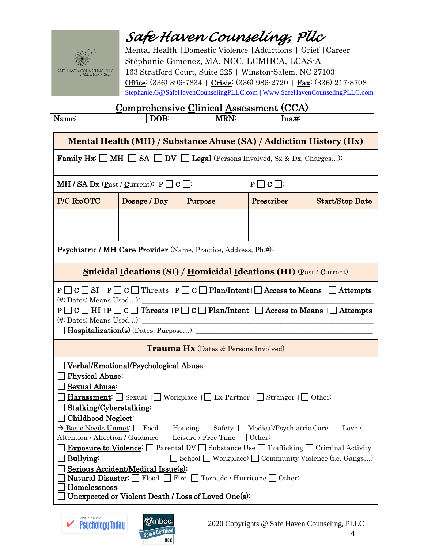

Mental Health |Domestic Violence |Addictions | Grief |Career Stéphanie Gimenez, MA, NCC, LCMHCA, LCAS-A 163 Stratford Court, Suite 225 | Winston-Salem, NC 27103 Office: (336) 396-7834 | Crisis: (336) 986-2720 | Fax: (336) 217-8708 [Stephanie.G@SafeHavenCounselingPLLC.com](mailto:Stephanie.G@SafeHavenCounselingPLLC.com) [| Www.SafeHavenCounselingPLLC.com](http://www.safehavencounselingpllc.com/)

| N. |  | vл | 1119.77 |
|----|--|----|---------|
|    |  |    |         |

|                                                                                                                                                                                                                                                                                                                                                                                                                                                                                                                                                                                                                                                                                                                                                                                                                                     | Mental Health (MH) / Substance Abuse (SA) / Addiction History (Hx)                                 |         |                 |                        |
|-------------------------------------------------------------------------------------------------------------------------------------------------------------------------------------------------------------------------------------------------------------------------------------------------------------------------------------------------------------------------------------------------------------------------------------------------------------------------------------------------------------------------------------------------------------------------------------------------------------------------------------------------------------------------------------------------------------------------------------------------------------------------------------------------------------------------------------|----------------------------------------------------------------------------------------------------|---------|-----------------|------------------------|
|                                                                                                                                                                                                                                                                                                                                                                                                                                                                                                                                                                                                                                                                                                                                                                                                                                     | <b>Family Hx:</b> $\Box$ MH $\Box$ SA $\Box$ DV $\Box$ Legal (Persons Involved, Sx & Dx, Charges): |         |                 |                        |
|                                                                                                                                                                                                                                                                                                                                                                                                                                                                                                                                                                                                                                                                                                                                                                                                                                     | <b>MH</b> / <b>SA Dx</b> ( <b>P</b> ast / <b>C</b> urrent): $P \Box C \Box$                        |         | $P \Box C \Box$ |                        |
| P/C Rx/OTC                                                                                                                                                                                                                                                                                                                                                                                                                                                                                                                                                                                                                                                                                                                                                                                                                          | Dosage / Day                                                                                       | Purpose | Prescriber      | <b>Start/Stop Date</b> |
|                                                                                                                                                                                                                                                                                                                                                                                                                                                                                                                                                                                                                                                                                                                                                                                                                                     |                                                                                                    |         |                 |                        |
|                                                                                                                                                                                                                                                                                                                                                                                                                                                                                                                                                                                                                                                                                                                                                                                                                                     |                                                                                                    |         |                 |                        |
|                                                                                                                                                                                                                                                                                                                                                                                                                                                                                                                                                                                                                                                                                                                                                                                                                                     | <b>Psychiatric / MH Care Provider</b> (Name, Practice, Address, Ph.#):                             |         |                 |                        |
|                                                                                                                                                                                                                                                                                                                                                                                                                                                                                                                                                                                                                                                                                                                                                                                                                                     | <b>Suicidal Ideations (SI) / Homicidal Ideations (HI) (Past / Current)</b>                         |         |                 |                        |
| $P \Box C \Box SI$   $P \Box C \Box$ Threats   $P \Box C \Box$ Plan/Intent   $\Box$ Access to Means   $\Box$ Attempts<br>$P \Box C \Box H I   P \Box C \Box$ Threats $ P \Box C \Box$ Plan/Intent $  \Box$ Access to Means $  \Box$ Attempts                                                                                                                                                                                                                                                                                                                                                                                                                                                                                                                                                                                        |                                                                                                    |         |                 |                        |
| <b>Trauma Hx</b> (Dates & Persons Involved)                                                                                                                                                                                                                                                                                                                                                                                                                                                                                                                                                                                                                                                                                                                                                                                         |                                                                                                    |         |                 |                        |
| Verbal/Emotional/Psychological Abuse:<br><b>Physical Abuse:</b><br><b>Sexual Abuse:</b><br><b>Harassment:</b> Sexual $\Box$ Workplace $\Box$ Ex-Partner $\Box$ Stranger $\Box$ Other:<br>Stalking/Cyberstalking<br>Childhood Neglect:<br>$\rightarrow$ Basic Needs Unmet: $\Box$ Food $\Box$ Housing $\Box$ Safety $\Box$ Medical/Psychiatric Care $\Box$ Love /<br>Attention / Affection / Guidance □ Leisure / Free Time □ Other:<br>Exposure to Violence <sup>:</sup> Parental DV Substance Use Trafficking Criminal Activity<br><b>Bullying:</b><br>School $\Box$ Workplace) $\Box$ Community Violence (i.e. Gangs)<br>Serious Accident/Medical Issue(s):<br><b>Natural Disaster:</b> $\Box$ Flood $\Box$ Fire $\Box$ Tornado / Hurricane $\Box$ Other:<br>Homelessness:<br>Unexpected or Violent Death / Loss of Loved One(s): |                                                                                                    |         |                 |                        |



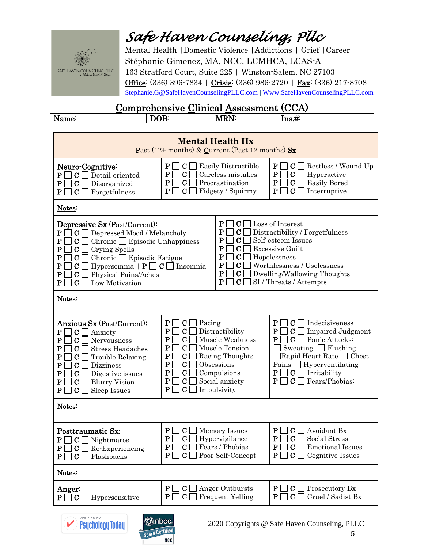

<sup>'</sup>) Psychology Today

**Board Certified NCC** 

### *Safe Haven Counseling, Pllc*

Mental Health |Domestic Violence |Addictions | Grief |Career Stéphanie Gimenez, MA, NCC, LCMHCA, LCAS-A 163 Stratford Court, Suite 225 | Winston-Salem, NC 27103 **Office**: (336) 396-7834 | Crisis: (336) 986-2720 | Fax: (336) 217-8708 [Stephanie.G@SafeHavenCounselingPLLC.com](mailto:Stephanie.G@SafeHavenCounselingPLLC.com) [| Www.SafeHavenCounselingPLLC.com](http://www.safehavencounselingpllc.com/)

| Nam<br>ше | м | ---<br>M<br>' N<br>w | 110.7T |
|-----------|---|----------------------|--------|
|           |   |                      |        |

| <b>Mental Health Hx</b><br>Past (12+ months) & Current (Past 12 months) $S_x$                                                                                                                                                                                                                                                                                                                                                                                                                                                                                                                                                                                                                                                                                                                                                        |                                                                                                                                                                                                                                                                                                                                                                                  |                                                                                                                                                                                                                                                               |  |  |
|--------------------------------------------------------------------------------------------------------------------------------------------------------------------------------------------------------------------------------------------------------------------------------------------------------------------------------------------------------------------------------------------------------------------------------------------------------------------------------------------------------------------------------------------------------------------------------------------------------------------------------------------------------------------------------------------------------------------------------------------------------------------------------------------------------------------------------------|----------------------------------------------------------------------------------------------------------------------------------------------------------------------------------------------------------------------------------------------------------------------------------------------------------------------------------------------------------------------------------|---------------------------------------------------------------------------------------------------------------------------------------------------------------------------------------------------------------------------------------------------------------|--|--|
| Neuro-Cognitive:<br>Detail-oriented<br>$\mathbf{P}$<br> C <br>${\bf P}$<br>Disorganized<br>$\mathbf C$<br>$\mathbf{P}$<br> C <br>Forgetfulness                                                                                                                                                                                                                                                                                                                                                                                                                                                                                                                                                                                                                                                                                       | Р<br>Easily Distractible<br>C.<br>$\mathbf P$<br>$\mathbf C$<br>Careless mistakes<br>$\mathbf P$<br>$\mathbf C$<br>Procrastination<br>$\mathbf P$<br>$\mathbf C$<br>Fidgety / Squirmy                                                                                                                                                                                            | $\bf P$<br>$\mathbf C$<br>Restless / Wound Up<br>$\mathbf P$<br>$\mathbf C$<br>Hyperactive<br>$\mathbf P$<br><b>Easily Bored</b><br>C<br>$\mathbf{P}$<br>$\mathbf C$<br>Interruptive                                                                          |  |  |
| Notes:                                                                                                                                                                                                                                                                                                                                                                                                                                                                                                                                                                                                                                                                                                                                                                                                                               |                                                                                                                                                                                                                                                                                                                                                                                  |                                                                                                                                                                                                                                                               |  |  |
| Loss of Interest<br>P<br>C <sub>1</sub><br>Depressive Sx (Past/Current):<br>$\mathbf P$<br>Distractibility / Forgetfulness<br>Depressed Mood / Melancholy<br>C<br>$\mathbf{P}$<br>$\mathbf C$<br>$\mathbf P$<br>Self-esteem Issues<br>$\mathbf P$<br>Chronic $\Box$ Episodic Unhappiness<br>С<br>$\mathbf C$<br>$\mathbf P$<br><b>Excessive Guilt</b><br>C<br>$\mathbf P$<br>$\mathbf C$<br>Crying Spells<br>$\mathbf P$<br>C<br>Hopelessness<br>$\mathbf P$<br>Chronic $\Box$ Episodic Fatigue<br>$\mathbf C$<br>Worthlessness / Uselessness<br>$\mathbf P$<br>C<br>$\mathbf P$<br>Hypersomnia $\mid P \square C \square$ Insomnia<br>$\bf C$<br>Dwelling/Wallowing Thoughts<br>P<br>C<br>$\mathbf P$<br>$\bf C$<br>Physical Pains/Aches<br>$\mathbf P$<br>$\bf C$<br>SI / Threats / Attempts<br>$\mathbf P$<br>Low Motivation<br>C |                                                                                                                                                                                                                                                                                                                                                                                  |                                                                                                                                                                                                                                                               |  |  |
| Notes:                                                                                                                                                                                                                                                                                                                                                                                                                                                                                                                                                                                                                                                                                                                                                                                                                               |                                                                                                                                                                                                                                                                                                                                                                                  |                                                                                                                                                                                                                                                               |  |  |
| Anxious Sx (Past/Current):<br>$\mathbf C$<br>P<br>Anxiety<br>P<br>C<br>Nervousness<br>P<br>C<br><b>Stress Headaches</b><br>P<br>$\mathbf C$<br>Trouble Relaxing<br>P<br>C<br>Dizziness<br>$\mathbf P$<br>$\mathbf C$<br>Digestive issues<br>P<br>C<br><b>Blurry Vision</b><br>$\mathbf P$<br>$\mathbf C$<br>Sleep Issues                                                                                                                                                                                                                                                                                                                                                                                                                                                                                                             | ${\bf P}$<br>$\mathbf C$<br>Pacing<br>P<br>$\mathbf C$<br>Distractibility<br>$\mathbf P$<br>$\overline{C}$<br>Muscle Weakness<br>P<br>$\mathbf C$<br>Muscle Tension<br>${\bf P}$<br>$\mathbf C$<br>Racing Thoughts<br>P<br>$\mathbf C$<br>Obsessions<br>${\bf P}$<br>$\mathbf C$<br>Compulsions<br>P<br>$\mathbf C$<br>Social anxiety<br>${\bf P}$<br>$\mathbf C$<br>Impulsivity | ${\bf P}$<br>C.<br>Indecisiveness<br>P<br><b>Impaired Judgment</b><br>С<br>Panic Attacks:<br>P<br>C.<br>Sweating $\Box$ Flushing<br>Rapid Heart Rate Chest<br>Pains $\Box$ Hyperventilating<br> C <br>Irritability<br>P<br>P<br>$\mathbf C$<br>Fears/Phobias: |  |  |
| Notes:                                                                                                                                                                                                                                                                                                                                                                                                                                                                                                                                                                                                                                                                                                                                                                                                                               |                                                                                                                                                                                                                                                                                                                                                                                  |                                                                                                                                                                                                                                                               |  |  |
| Posttraumatic Sx:<br> C <br>Nightmares<br>P<br>$P \mid$<br>$\perp$ C $\perp$<br>$\Box$ Re-Experiencing<br>$P \mid$<br>$\mathbf C$<br>Flashbacks                                                                                                                                                                                                                                                                                                                                                                                                                                                                                                                                                                                                                                                                                      | P<br>$\mathbf C$<br><b>Memory Issues</b><br>$\mathbf C$<br>P<br>Hypervigilance<br>$P \Box C \Box$ Fears / Phobias<br>$P \Box C$<br>Poor Self-Concept                                                                                                                                                                                                                             | Avoidant Bx<br>P<br>C<br>C<br>Social Stress<br>P<br>$P \Box C \Box$ Emotional Issues<br>Cognitive Issues<br>$P \cup$<br>$C$                                                                                                                                   |  |  |
| Notes:                                                                                                                                                                                                                                                                                                                                                                                                                                                                                                                                                                                                                                                                                                                                                                                                                               |                                                                                                                                                                                                                                                                                                                                                                                  |                                                                                                                                                                                                                                                               |  |  |
| Anger:<br>$P \Box$<br> C <br>Hypersensitive                                                                                                                                                                                                                                                                                                                                                                                                                                                                                                                                                                                                                                                                                                                                                                                          | $\mathbf{P}$<br>Anger Outbursts<br>$\mathbf{C}$ $\Box$<br>$\mathbf{P}$<br>$\mathbf C$<br><b>Frequent Yelling</b>                                                                                                                                                                                                                                                                 | $P \cup C \cup$ Prosecutory Bx<br>$\mathbf C$<br>Cruel / Sadist Bx<br>P <sub>1</sub>                                                                                                                                                                          |  |  |
| <b>VERIFIED BY</b><br><b>BInbcc</b><br>Deuchologu Todau<br>2020 Convrights @ Safe Haven Counseling PLLC                                                                                                                                                                                                                                                                                                                                                                                                                                                                                                                                                                                                                                                                                                                              |                                                                                                                                                                                                                                                                                                                                                                                  |                                                                                                                                                                                                                                                               |  |  |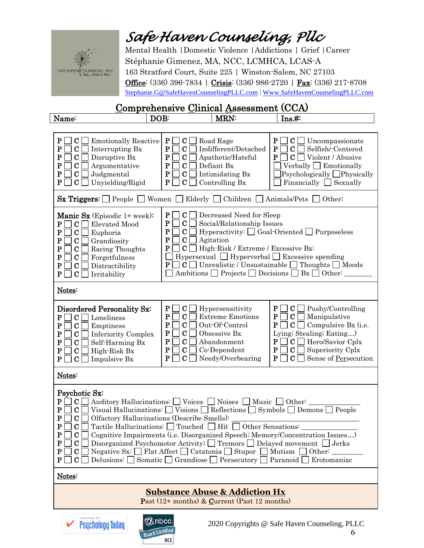

Mental Health |Domestic Violence |Addictions | Grief |Career Stéphanie Gimenez, MA, NCC, LCMHCA, LCAS-A 163 Stratford Court, Suite 225 | Winston-Salem, NC 27103 Office: (336) 396-7834 | Crisis: (336) 986-2720 | Fax: (336) 217-8708 [Stephanie.G@SafeHavenCounselingPLLC.com](mailto:Stephanie.G@SafeHavenCounselingPLLC.com) [| Www.SafeHavenCounselingPLLC.com](http://www.safehavencounselingpllc.com/)

| Name:                                                                                                                                                                                                                                                                                                                                                                                                                                                                                                                                                                                                                                                                                                                                                                                                                                                                                                                                             | DOB:                                                                                                                                                  | <b>MRN:</b>                                                                                               | Ins. #:                                                                                                                                                                                                                                    |  |  |  |  |
|---------------------------------------------------------------------------------------------------------------------------------------------------------------------------------------------------------------------------------------------------------------------------------------------------------------------------------------------------------------------------------------------------------------------------------------------------------------------------------------------------------------------------------------------------------------------------------------------------------------------------------------------------------------------------------------------------------------------------------------------------------------------------------------------------------------------------------------------------------------------------------------------------------------------------------------------------|-------------------------------------------------------------------------------------------------------------------------------------------------------|-----------------------------------------------------------------------------------------------------------|--------------------------------------------------------------------------------------------------------------------------------------------------------------------------------------------------------------------------------------------|--|--|--|--|
|                                                                                                                                                                                                                                                                                                                                                                                                                                                                                                                                                                                                                                                                                                                                                                                                                                                                                                                                                   |                                                                                                                                                       |                                                                                                           |                                                                                                                                                                                                                                            |  |  |  |  |
| ${\bf P}$<br><b>Emotionally Reactive</b><br>С<br>${\bf P}$<br>C<br>Interrupting Bx<br>${\bf P}$<br>Disruptive Bx<br>C<br>$\mathbf P$<br>Argumentative<br>С<br>Judgmental<br>${\bf P}$<br>C<br>Unyielding/Rigid<br>${\bf P}$<br>С                                                                                                                                                                                                                                                                                                                                                                                                                                                                                                                                                                                                                                                                                                                  | ${\bf P}$<br> C <br>${\bf P}$<br>$\mathbf C$<br>${\bf P}$<br>C<br>${\bf P}$<br>$\mathbf C$<br>${\bf P}$<br>$\mathbf C$<br>$\mathbf{P}$<br>$\mathbf C$ | Road Rage<br>Indifferent/Detached<br>Apathetic/Hateful<br>Defiant Bx<br>Intimidating Bx<br>Controlling Bx | $\bf P$<br>$C \Box$<br>Uncompassionate<br>$\mathbf P$<br>$\mathbf C$<br>Selfish/-Centered<br>$\mathbf P$<br>$\mathbf{C}$<br>Violent / Abusive<br>Verbally $\Box$ Emotionally<br>Psychologically □Physically<br>Financially $\Box$ Sexually |  |  |  |  |
| <b>Sx Triggers:</b> $\Box$ People $\Box$ Women $\Box$ Elderly $\Box$ Children $\Box$ Animals/Pets                                                                                                                                                                                                                                                                                                                                                                                                                                                                                                                                                                                                                                                                                                                                                                                                                                                 |                                                                                                                                                       |                                                                                                           | Other:                                                                                                                                                                                                                                     |  |  |  |  |
| ${\bf P}$<br>$\mathbf{C}$ $\Box$<br>Decreased Need for Sleep<br>Manic Sx (Episodic 1+ week):<br>${\bf P}$<br> C <br>Social/Relationship Issues<br>P<br>C<br>Elevated Mood<br>P<br>$Hyperactivity: \Box Goal-Oriented \Box Purposeless$<br>$\mathbf C$<br>${\bf P}$<br>$\bf C$<br>Euphoria<br>${\bf P}$<br>$\mathbf C$<br>Agitation<br>${\bf P}$<br>$\bf C$<br>Grandiosity<br>${\bf P}$<br> C <br>High-Risk / Extreme / Excessive Bx:<br>${\bf P}$<br>$\mathbf C$<br>Racing Thoughts<br>$Hyperseval \n\Box\n\nHyperverbal \n\Box\n\nExcessive spending$<br>${\bf P}$<br>$\mathbf C$<br>Forgetfulness<br>$\Box$ C $\Box$ Unrealistic / Unsustainable $\Box$ Thoughts $\Box$ Moods<br>P<br>${\bf P}$<br>$\mathbf C$<br>Distractibility<br>Ambitions $\Box$ Projects $\Box$ Decisions $\Box$ Bx $\Box$ Other:<br>${\bf P}$<br>$\mathbf C$<br>Irritability                                                                                             |                                                                                                                                                       |                                                                                                           |                                                                                                                                                                                                                                            |  |  |  |  |
| Notes:                                                                                                                                                                                                                                                                                                                                                                                                                                                                                                                                                                                                                                                                                                                                                                                                                                                                                                                                            |                                                                                                                                                       |                                                                                                           |                                                                                                                                                                                                                                            |  |  |  |  |
| ${\bf P}$<br>$\mathbf C$<br>P <sub>1</sub><br>$C \bigsqcup$ Pushy/Controlling<br>Hypersensitivity<br>Disordered Personality Sx:<br>$\mathbf P$<br>$\mathbf C$<br><b>Extreme Emotions</b><br>$C \Box$ Manipulative<br>$P \mid$<br> C <br>$\mathbf{P}$<br>Loneliness<br>$\mathbf P$<br>$\mathbf C$<br>Out-Of-Control<br>$C \Box$ Compulsive Bx (i.e.<br>$P$    <br>${\bf P}$<br>$\mathbf C$<br>Emptiness<br>${\bf P}$<br>$\mathbf C$<br>Lying; Stealing; Eating)<br>Obsessive Bx<br>${\bf P}$<br>$\mathbf C$<br><b>Inferiority Complex</b><br>$\mathbf C$<br>$C \Box$ Hero/Savior Cplx<br>$\mathbf P$<br>Abandonment<br>P<br>${\bf P}$<br>$\mathbf C$<br>$\overline{1}$<br>Self-Harming Bx<br>P<br>$\bf C$<br>Co-Dependent<br>P<br>$\mathbf{C}$ $\Box$<br>Superiority Cplx<br>${\bf P}$<br>$\mathbf C$<br>High-Risk Bx<br>$\mathbf C$<br>P<br>Needy/Overbearing<br>$P \mid$<br>$C \Box$<br>Sense of Persecution<br>$\mathbf C$<br>P<br>Impulsive Bx |                                                                                                                                                       |                                                                                                           |                                                                                                                                                                                                                                            |  |  |  |  |
| Notes:                                                                                                                                                                                                                                                                                                                                                                                                                                                                                                                                                                                                                                                                                                                                                                                                                                                                                                                                            |                                                                                                                                                       |                                                                                                           |                                                                                                                                                                                                                                            |  |  |  |  |
| Psychotic Sx:<br>$\mathbf{P}$<br> C <br>Auditory Hallucinations: Voices Noises Music Other:<br>${\bf P}$<br>Visual Hallucinations: $\Box$ Visions $\Box$ Reflections $\Box$ Symbols $\Box$ Demons $\Box$<br>$\mathbf C$<br>People<br>${\bf P}$<br>$\mathbf{C}$<br>Olfactory Hallucinations (Describe Smells):<br>$\Box$ C $\Box$ Tactile Hallucinations: $\Box$ Touched $\Box$ Hit $\overline{\Box}$ Other Sensations:<br>${\bf P}$<br>${\bf P}$<br>С<br>Cognitive Impairments (i.e. Disorganized Speech; Memory/Concentration Issues)<br>${\bf P}$<br>Disorganized Psychomotor Activity: $\Box$ Tremors $\Box$ Delayed movement $\Box$ Jerks<br>С<br>${\bf P}$<br>Negative Sx: $\Box$ Flat Affect $\Box$ Catatonia $\Box$ Stupor $\Box$ Mutism [<br>$\Box$ Other:<br>С<br>Delusions: Somatic Grandiose Persecutory Paranoid Erotomaniac<br>$\mathbf{P}$<br>C                                                                                     |                                                                                                                                                       |                                                                                                           |                                                                                                                                                                                                                                            |  |  |  |  |
| Notes:                                                                                                                                                                                                                                                                                                                                                                                                                                                                                                                                                                                                                                                                                                                                                                                                                                                                                                                                            |                                                                                                                                                       |                                                                                                           |                                                                                                                                                                                                                                            |  |  |  |  |
| <b>Substance Abuse &amp; Addiction Hx</b><br>Past $(12+$ months) & Current (Past 12 months)                                                                                                                                                                                                                                                                                                                                                                                                                                                                                                                                                                                                                                                                                                                                                                                                                                                       |                                                                                                                                                       |                                                                                                           |                                                                                                                                                                                                                                            |  |  |  |  |
|                                                                                                                                                                                                                                                                                                                                                                                                                                                                                                                                                                                                                                                                                                                                                                                                                                                                                                                                                   |                                                                                                                                                       |                                                                                                           |                                                                                                                                                                                                                                            |  |  |  |  |

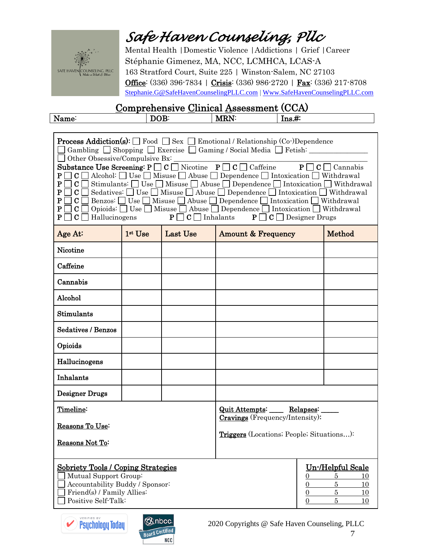

Mental Health |Domestic Violence |Addictions | Grief |Career Stéphanie Gimenez, MA, NCC, LCMHCA, LCAS-A 163 Stratford Court, Suite 225 | Winston-Salem, NC 27103 Office: (336) 396-7834 | Crisis: (336) 986-2720 | Fax: (336) 217-8708 [Stephanie.G@SafeHavenCounselingPLLC.com](mailto:Stephanie.G@SafeHavenCounselingPLLC.com) [| Www.SafeHavenCounselingPLLC.com](http://www.safehavencounselingpllc.com/)

| $\mathbf{v}$<br>Na.<br>. | M<br>'NL<br>. . | 1110.77 |
|--------------------------|-----------------|---------|
|                          |                 |         |

| Other Obsessive/Compulsive Bx:<br>P<br> C <br>${\bf P}$<br>$\mathbf{C}$ $\Box$<br>P<br>$\mathbf{C}$ $\Box$<br>P<br>P<br>$C \Box$ Hallucinogens<br>$P$                                                                                                                                                 |                          |          | <b>Process Addiction(s):</b> $\Box$ Food $\Box$ Sex $\Box$ Emotional / Relationship (Co-)Dependence<br>$\Box$ Gambling $\Box$ Shopping $\Box$ Exercise $\Box$ Gaming / Social Media $\Box$ Fetish: __________<br>Substance Use Screening: $P \Box C \Box$ Nicotine $P \Box C \Box$ Caffeine $P \Box C \Box$ Cannabis<br>$\mathbf{C} \square$ Alcohol: $\square$ Use $\square$ Misuse $\square$ Abuse $\square$ Dependence $\square$ Intoxication $\square$ Withdrawal<br>Stimulants: $\Box$ Use $\Box$ Misuse $\Box$ Abuse $\Box$ Dependence $\Box$ Intoxication $\Box$ Withdrawal<br>Sedatives: $\Box$ Use $\Box$ Misuse $\Box$ Abuse $\Box$ Dependence $\Box$ Intoxication $\Box$ Withdrawal<br>Benzos: $\Box$ Use $\Box$ Misuse $\Box$ Abuse $\Box$ Dependence $\Box$ Intoxication $\Box$ Withdrawal<br>$C \Box$ Opioids: $\Box$ Use $\Box$ Misuse $\Box$ Abuse $\Box$ Dependence $\Box$ Intoxication $\Box$ Withdrawal<br>$P \Box C \Box$ Inhalants $P \Box C \Box$ Designer Drugs |        |  |  |  |  |
|-------------------------------------------------------------------------------------------------------------------------------------------------------------------------------------------------------------------------------------------------------------------------------------------------------|--------------------------|----------|----------------------------------------------------------------------------------------------------------------------------------------------------------------------------------------------------------------------------------------------------------------------------------------------------------------------------------------------------------------------------------------------------------------------------------------------------------------------------------------------------------------------------------------------------------------------------------------------------------------------------------------------------------------------------------------------------------------------------------------------------------------------------------------------------------------------------------------------------------------------------------------------------------------------------------------------------------------------------------------|--------|--|--|--|--|
| Age At:                                                                                                                                                                                                                                                                                               | $1st$ Use                | Last Use | <b>Amount &amp; Frequency</b>                                                                                                                                                                                                                                                                                                                                                                                                                                                                                                                                                                                                                                                                                                                                                                                                                                                                                                                                                          | Method |  |  |  |  |
| Nicotine                                                                                                                                                                                                                                                                                              |                          |          |                                                                                                                                                                                                                                                                                                                                                                                                                                                                                                                                                                                                                                                                                                                                                                                                                                                                                                                                                                                        |        |  |  |  |  |
| Caffeine                                                                                                                                                                                                                                                                                              |                          |          |                                                                                                                                                                                                                                                                                                                                                                                                                                                                                                                                                                                                                                                                                                                                                                                                                                                                                                                                                                                        |        |  |  |  |  |
| Cannabis                                                                                                                                                                                                                                                                                              |                          |          |                                                                                                                                                                                                                                                                                                                                                                                                                                                                                                                                                                                                                                                                                                                                                                                                                                                                                                                                                                                        |        |  |  |  |  |
| Alcohol                                                                                                                                                                                                                                                                                               |                          |          |                                                                                                                                                                                                                                                                                                                                                                                                                                                                                                                                                                                                                                                                                                                                                                                                                                                                                                                                                                                        |        |  |  |  |  |
| Stimulants                                                                                                                                                                                                                                                                                            |                          |          |                                                                                                                                                                                                                                                                                                                                                                                                                                                                                                                                                                                                                                                                                                                                                                                                                                                                                                                                                                                        |        |  |  |  |  |
| <b>Sedatives / Benzos</b>                                                                                                                                                                                                                                                                             |                          |          |                                                                                                                                                                                                                                                                                                                                                                                                                                                                                                                                                                                                                                                                                                                                                                                                                                                                                                                                                                                        |        |  |  |  |  |
| Opioids                                                                                                                                                                                                                                                                                               |                          |          |                                                                                                                                                                                                                                                                                                                                                                                                                                                                                                                                                                                                                                                                                                                                                                                                                                                                                                                                                                                        |        |  |  |  |  |
| Hallucinogens                                                                                                                                                                                                                                                                                         |                          |          |                                                                                                                                                                                                                                                                                                                                                                                                                                                                                                                                                                                                                                                                                                                                                                                                                                                                                                                                                                                        |        |  |  |  |  |
| Inhalants                                                                                                                                                                                                                                                                                             |                          |          |                                                                                                                                                                                                                                                                                                                                                                                                                                                                                                                                                                                                                                                                                                                                                                                                                                                                                                                                                                                        |        |  |  |  |  |
| <b>Designer Drugs</b>                                                                                                                                                                                                                                                                                 |                          |          |                                                                                                                                                                                                                                                                                                                                                                                                                                                                                                                                                                                                                                                                                                                                                                                                                                                                                                                                                                                        |        |  |  |  |  |
| Timeline:                                                                                                                                                                                                                                                                                             | Quit Attempts: Relapses: |          |                                                                                                                                                                                                                                                                                                                                                                                                                                                                                                                                                                                                                                                                                                                                                                                                                                                                                                                                                                                        |        |  |  |  |  |
| Reasons To Use:                                                                                                                                                                                                                                                                                       |                          |          | <b>Cravings</b> (Frequency/Intensity):                                                                                                                                                                                                                                                                                                                                                                                                                                                                                                                                                                                                                                                                                                                                                                                                                                                                                                                                                 |        |  |  |  |  |
| <b>Triggers</b> (Locations: People: Situations):<br>Reasons Not To:                                                                                                                                                                                                                                   |                          |          |                                                                                                                                                                                                                                                                                                                                                                                                                                                                                                                                                                                                                                                                                                                                                                                                                                                                                                                                                                                        |        |  |  |  |  |
| Un-/Helpful Scale<br><b>Sobriety Tools / Coping Strategies</b><br>Mutual Support Group:<br>5<br>10<br>0<br>Accountability Buddy / Sponsor:<br>$\overline{5}$<br>0<br>10<br>Friend(s) / Family Allies:<br>$\overline{5}$<br>$\overline{0}$<br>10<br>Positive Self-Talk:<br>5<br>$\boldsymbol{0}$<br>10 |                          |          |                                                                                                                                                                                                                                                                                                                                                                                                                                                                                                                                                                                                                                                                                                                                                                                                                                                                                                                                                                                        |        |  |  |  |  |